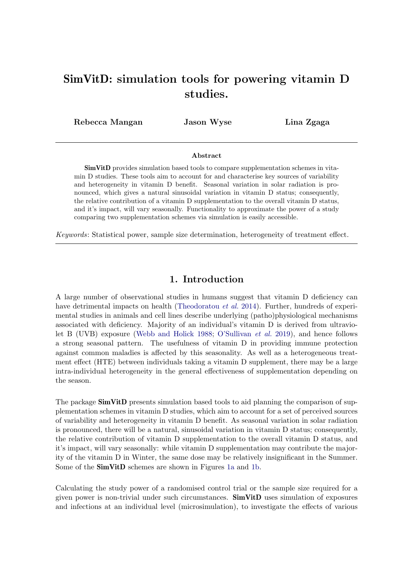# SimVitD: simulation tools for powering vitamin D studies.

Rebecca Mangan Jason Wyse Lina Zgaga

#### Abstract

SimVitD provides simulation based tools to compare supplementation schemes in vitamin D studies. These tools aim to account for and characterise key sources of variability and heterogeneity in vitamin D benefit. Seasonal variation in solar radiation is pronounced, which gives a natural sinusoidal variation in vitamin D status; consequently, the relative contribution of a vitamin D supplementation to the overall vitamin D status, and it's impact, will vary seasonally. Functionality to approximate the power of a study comparing two supplementation schemes via simulation is easily accessible.

Keywords: Statistical power, sample size determination, heterogeneity of treatment effect.

# 1. Introduction

A large number of observational studies in humans suggest that vitamin D deficiency can have detrimental impacts on health [\(Theodoratou](#page-13-0) et al. 2014). Further, hundreds of experimental studies in animals and cell lines describe underlying (patho)physiological mechanisms associated with deficiency. Majority of an individual's vitamin D is derived from ultraviolet B (UVB) exposure [\(Webb and Holick 1988;](#page-13-1) [O'Sullivan](#page-13-2) et al. 2019), and hence follows a strong seasonal pattern. The usefulness of vitamin D in providing immune protection against common maladies is affected by this seasonality. As well as a heterogeneous treatment effect (HTE) between individuals taking a vitamin D supplement, there may be a large intra-individual heterogeneity in the general effectiveness of supplementation depending on the season.

The package **SimVitD** presents simulation based tools to aid planning the comparison of supplementation schemes in vitamin D studies, which aim to account for a set of perceived sources of variability and heterogeneity in vitamin D benefit. As seasonal variation in solar radiation is pronounced, there will be a natural, sinusoidal variation in vitamin D status; consequently, the relative contribution of vitamin D supplementation to the overall vitamin D status, and it's impact, will vary seasonally: while vitamin D supplementation may contribute the majority of the vitamin D in Winter, the same dose may be relatively insignificant in the Summer. Some of the SimVitD schemes are shown in Figures [1a](#page-1-0) and [1b.](#page-1-0)

Calculating the study power of a randomised control trial or the sample size required for a given power is non-trivial under such circumstances. SimVitD uses simulation of exposures and infections at an individual level (microsimulation), to investigate the effects of various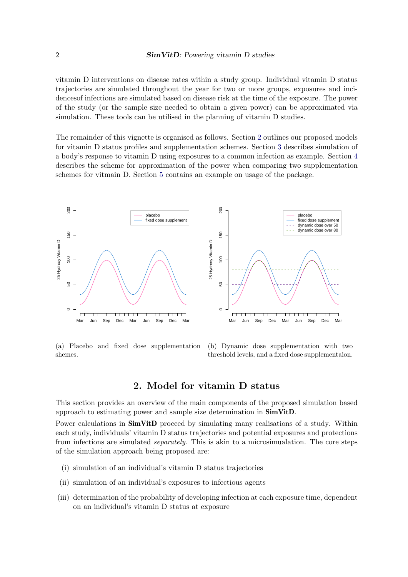vitamin D interventions on disease rates within a study group. Individual vitamin D status trajectories are simulated throughout the year for two or more groups, exposures and incidencesof infections are simulated based on disease risk at the time of the exposure. The power of the study (or the sample size needed to obtain a given power) can be approximated via simulation. These tools can be utilised in the planning of vitamin D studies.

The remainder of this vignette is organised as follows. Section [2](#page-1-1) outlines our proposed models for vitamin D status profiles and supplementation schemes. Section [3](#page-3-0) describes simulation of a body's response to vitamin D using exposures to a common infection as example. Section [4](#page-5-0) describes the scheme for approximation of the power when comparing two supplementation schemes for vitmain D. Section [5](#page-7-0) contains an example on usage of the package.

<span id="page-1-0"></span>

(a) Placebo and fixed dose supplementation shemes.

(b) Dynamic dose supplementation with two threshold levels, and a fixed dose supplementaion.

# 2. Model for vitamin D status

<span id="page-1-1"></span>This section provides an overview of the main components of the proposed simulation based approach to estimating power and sample size determination in SimVitD.

Power calculations in **SimVitD** proceed by simulating many realisations of a study. Within each study, individuals' vitamin D status trajectories and potential exposures and protections from infections are simulated *separately*. This is akin to a microsimualation. The core steps of the simulation approach being proposed are:

- (i) simulation of an individual's vitamin D status trajectories
- (ii) simulation of an individual's exposures to infectious agents
- (iii) determination of the probability of developing infection at each exposure time, dependent on an individual's vitamin D status at exposure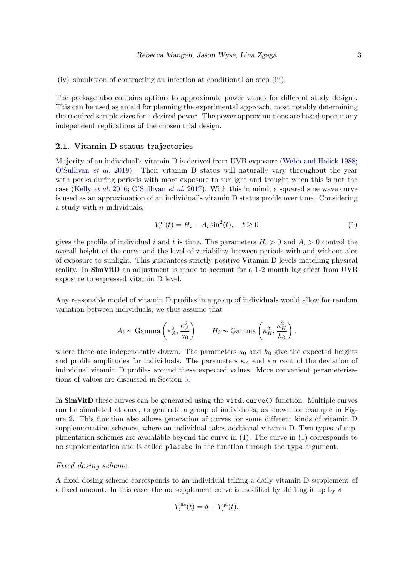(iv) simulation of contracting an infection at conditional on step (iii).

The package also contains options to approximate power values for different study designs. This can be used as an aid for planning the experimental approach, most notably determining the required sample sizes for a desired power. The power approximations are based upon many independent replications of the chosen trial design.

### <span id="page-2-1"></span>2.1. Vitamin D status trajectories

Majority of an individual's vitamin D is derived from UVB exposure [\(Webb and Holick 1988;](#page-13-1) [O'Sullivan](#page-13-2) et al. 2019). Their vitamin D status will naturally vary throughout the year with peaks during periods with more exposure to sunlight and troughs when this is not the case [\(Kelly](#page-13-3) et al. 2016; [O'Sullivan](#page-13-4) et al. 2017). With this in mind, a squared sine wave curve is used as an approximation of an individual's vitamin D status profile over time. Considering a study with  $n$  individuals,

<span id="page-2-0"></span>
$$
V_i^{\text{pl}}(t) = H_i + A_i \sin^2(t), \quad t \ge 0
$$
 (1)

gives the profile of individual i and t is time. The parameters  $H_i > 0$  and  $A_i > 0$  control the overall height of the curve and the level of variability between periods with and without alot of exposure to sunlight. This guarantees strictly positive Vitamin D levels matching physical reality. In **SimVitD** an adjustment is made to account for a 1-2 month lag effect from UVB exposure to expressed vitamin D level.

Any reasonable model of vitamin D profiles in a group of individuals would allow for random variation between individuals; we thus assume that

$$
A_i \sim \text{Gamma}\left(\kappa_A^2, \frac{\kappa_A^2}{a_0}\right) \qquad H_i \sim \text{Gamma}\left(\kappa_H^2, \frac{\kappa_H^2}{h_0}\right).
$$

where these are independently drawn. The parameters  $a_0$  and  $h_0$  give the expected heights and profile amplitudes for individuals. The parameters  $\kappa_A$  and  $\kappa_H$  control the deviation of individual vitamin D profiles around these expected values. More convenient parameterisations of values are discussed in Section [5.](#page-7-0)

In SimVitD these curves can be generated using the vitd.curve() function. Multiple curves can be simulated at once, to generate a group of individuals, as shown for example in Figure [2.](#page-4-0) This function also allows generation of curves for some different kinds of vitamin D supplementation schemes, where an individual takes addtional vitamin D. Two types of supplmentation schemes are avaialable beyond the curve in [\(1\)](#page-2-0). The curve in [\(1\)](#page-2-0) corresponds to no supplementation and is called placebo in the function through the type argument.

#### Fixed dosing scheme

A fixed dosing scheme corresponds to an individual taking a daily vitamin D supplement of a fixed amount. In this case, the no supplement curve is modified by shifting it up by  $\delta$ 

$$
V_i^{\text{fix}}(t) = \delta + V_i^{\text{pl}}(t).
$$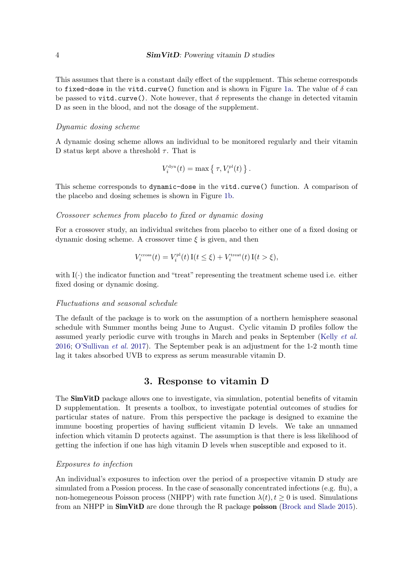This assumes that there is a constant daily effect of the supplement. This scheme corresponds to fixed-dose in the vitd.curve() function and is shown in Figure [1a.](#page-1-0) The value of  $\delta$  can be passed to vitd.curve(). Note however, that  $\delta$  represents the change in detected vitamin D as seen in the blood, and not the dosage of the supplement.

#### Dynamic dosing scheme

A dynamic dosing scheme allows an individual to be monitored regularly and their vitamin D status kept above a threshold  $\tau$ . That is

$$
V_i^{\text{dyn}}(t) = \max \left\{ \left. \tau, V_i^{\text{pl}}(t) \right. \right\}.
$$

This scheme corresponds to dynamic-dose in the vitd.curve() function. A comparison of the placebo and dosing schemes is shown in Figure [1b.](#page-1-0)

#### Crossover schemes from placebo to fixed or dynamic dosing

For a crossover study, an individual switches from placebo to either one of a fixed dosing or dynamic dosing scheme. A crossover time  $\xi$  is given, and then

$$
V_i^{\text{cross}}(t) = V_i^{\text{pl}}(t) \operatorname{I}(t \le \xi) + V_i^{\text{treat}}(t) \operatorname{I}(t > \xi),
$$

with  $I(\cdot)$  the indicator function and "treat" representing the treatment scheme used i.e. either fixed dosing or dynamic dosing.

#### Fluctuations and seasonal schedule

The default of the package is to work on the assumption of a northern hemisphere seasonal schedule with Summer months being June to August. Cyclic vitamin D profiles follow the assumed yearly periodic curve with troughs in March and peaks in September [\(Kelly](#page-13-3) et al. [2016;](#page-13-3) [O'Sullivan](#page-13-4) et al. 2017). The September peak is an adjustment for the 1-2 month time lag it takes absorbed UVB to express as serum measurable vitamin D.

# 3. Response to vitamin D

<span id="page-3-0"></span>The SimVitD package allows one to investigate, via simulation, potential benefits of vitamin D supplementation. It presents a toolbox, to investigate potential outcomes of studies for particular states of nature. From this perspective the package is designed to examine the immune boosting properties of having sufficient vitamin D levels. We take an unnamed infection which vitamin D protects against. The assumption is that there is less likelihood of getting the infection if one has high vitamin D levels when susceptible and exposed to it.

#### Exposures to infection

An individual's exposures to infection over the period of a prospective vitamin D study are simulated from a Possion process. In the case of seasonally concentrated infections (e.g. flu), a non-homegeneous Poisson process (NHPP) with rate function  $\lambda(t)$ ,  $t \geq 0$  is used. Simulations from an NHPP in SimVitD are done through the R package poisson [\(Brock and Slade 2015\)](#page-13-5).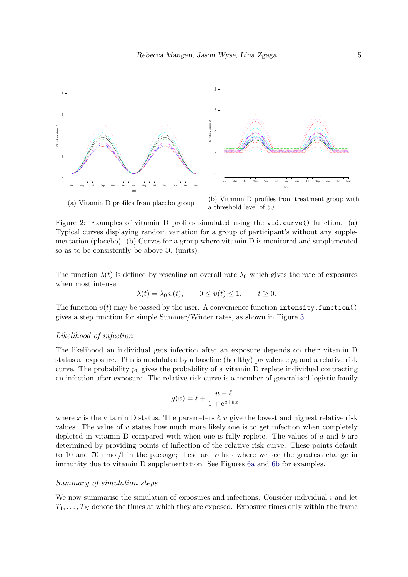<span id="page-4-0"></span>

(a) Vitamin D profiles from placebo group

(b) Vitamin D profiles from treatment group with a threshold level of 50

Figure 2: Examples of vitamin D profiles simulated using the vid.curve() function. (a) Typical curves displaying random variation for a group of participant's without any supplementation (placebo). (b) Curves for a group where vitamin D is monitored and supplemented so as to be consistently be above 50 (units).

The function  $\lambda(t)$  is defined by rescaling an overall rate  $\lambda_0$  which gives the rate of exposures when most intense

$$
\lambda(t) = \lambda_0 v(t), \qquad 0 \le v(t) \le 1, \qquad t \ge 0.
$$

The function  $v(t)$  may be passed by the user. A convenience function intensity. function() gives a step function for simple Summer/Winter rates, as shown in Figure [3.](#page-5-1)

#### Likelihood of infection

The likelihood an individual gets infection after an exposure depends on their vitamin D status at exposure. This is modulated by a baseline (healthy) prevalence  $p_0$  and a relative risk curve. The probability  $p_0$  gives the probability of a vitamin D replete individual contracting an infection after exposure. The relative risk curve is a member of generalised logistic family

$$
g(x) = \ell + \frac{u - \ell}{1 + e^{a + bx}},
$$

where x is the vitamin D status. The parameters  $\ell, u$  give the lowest and highest relative risk values. The value of  $u$  states how much more likely one is to get infection when completely depleted in vitamin D compared with when one is fully replete. The values of  $a$  and  $b$  are determined by providing points of inflection of the relative risk curve. These points default to 10 and 70 nmol/l in the package; these are values where we see the greatest change in immunity due to vitamin D supplementation. See Figures [6a](#page-9-0) and [6b](#page-9-0) for examples.

## Summary of simulation steps

We now summarise the simulation of exposures and infections. Consider individual  $i$  and let  $T_1, \ldots, T_N$  denote the times at which they are exposed. Exposure times only within the frame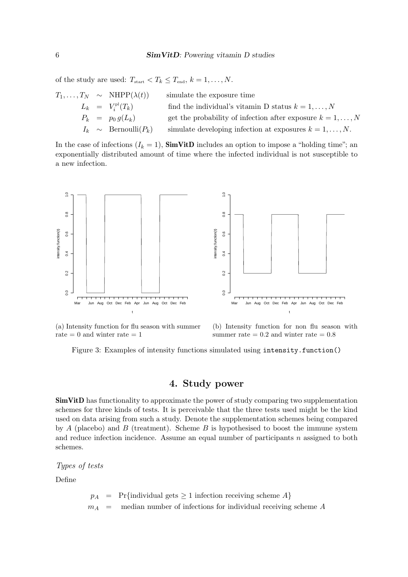of the study are used:  $T_{\text{start}} < T_k \leq T_{\text{end}}$ ,  $k = 1, ..., N$ .

|  | $T_1,\ldots,T_N \sim \text{NHPP}(\lambda(t))$ | simulate the exposure time                                      |
|--|-----------------------------------------------|-----------------------------------------------------------------|
|  | $L_k = V_i^{\text{pl}}(T_k)$                  | find the individual's vitamin D status $k = 1, , N$             |
|  | $P_k = p_0 g(L_k)$                            | get the probability of infection after exposure $k = 1, , N$    |
|  | $I_k \sim \text{Bernoulli}(P_k)$              | simulate developing infection at exposures $k = 1, \ldots, N$ . |

In the case of infections  $(I_k = 1)$ , **SimVitD** includes an option to impose a "holding time"; an exponentially distributed amount of time where the infected individual is not susceptible to a new infection.

<span id="page-5-1"></span>

(a) Intensity function for flu season with summer rate  $= 0$  and winter rate  $= 1$ 

(b) Intensity function for non flu season with summer rate  $= 0.2$  and winter rate  $= 0.8$ 

Figure 3: Examples of intensity functions simulated using intensity.function()

# 4. Study power

<span id="page-5-0"></span>SimVitD has functionality to approximate the power of study comparing two supplementation schemes for three kinds of tests. It is perceivable that the three tests used might be the kind used on data arising from such a study. Denote the supplementation schemes being compared by  $A$  (placebo) and  $B$  (treatment). Scheme  $B$  is hypothesised to boost the immune system and reduce infection incidence. Assume an equal number of participants  $n$  assigned to both schemes.

Types of tests

Define

 $p_A$  = Pr{individual gets  $\geq 1$  infection receiving scheme A}  $m_A$  = median number of infections for individual receiving scheme A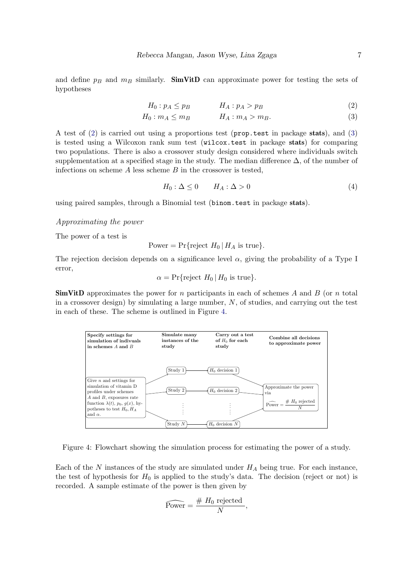and define  $p_B$  and  $m_B$  similarly. **SimVitD** can approximate power for testing the sets of hypotheses

<span id="page-6-0"></span>
$$
H_0: p_A \le p_B \qquad H_A: p_A > p_B \tag{2}
$$

$$
H_0: m_A \le m_B \qquad H_A: m_A > m_B. \tag{3}
$$

A test of [\(2\)](#page-6-0) is carried out using a proportions test (prop.test in package stats), and [\(3\)](#page-6-0) is tested using a Wilcoxon rank sum test (wilcox.test in package stats) for comparing two populations. There is also a crossover study design considered where individuals switch supplementation at a specified stage in the study. The median difference  $\Delta$ , of the number of infections on scheme  $A$  less scheme  $B$  in the crossover is tested,

$$
H_0: \Delta \le 0 \qquad H_A: \Delta > 0 \tag{4}
$$

using paired samples, through a Binomial test (binom.test in package stats).

#### Approximating the power

The power of a test is

Power = Pr{reject 
$$
H_0 | H_A
$$
 is true}.

The rejection decision depends on a significance level  $\alpha$ , giving the probability of a Type I error,

$$
\alpha = \Pr{\text{reject } H_0 \,|\, H_0 \text{ is true}}.
$$

**SimVitD** approximates the power for n participants in each of schemes A and B (or n total in a crossover design) by simulating a large number,  $N$ , of studies, and carrying out the test in each of these. The scheme is outlined in Figure [4.](#page-6-1)

<span id="page-6-1"></span>

Figure 4: Flowchart showing the simulation process for estimating the power of a study.

Each of the  $N$  instances of the study are simulated under  $H_A$  being true. For each instance, the test of hypothesis for  $H_0$  is applied to the study's data. The decision (reject or not) is recorded. A sample estimate of the power is then given by

$$
\widehat{\text{Power}} = \frac{\# H_0 \text{ rejected}}{N},
$$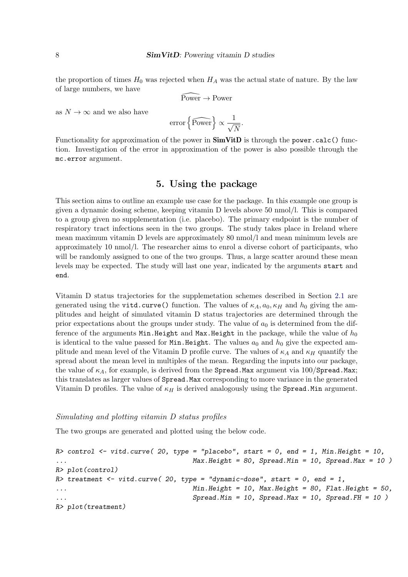the proportion of times  $H_0$  was rejected when  $H_A$  was the actual state of nature. By the law of large numbers, we have

$$
\widehat{\mathrm{Power}} \to \mathrm{Power}
$$

as  $N\to\infty$  and we also have

error 
$$
\left\{\widehat{\text{Power}}\right\} \propto \frac{1}{\sqrt{N}}.
$$

Functionality for approximation of the power in  $\text{SimVitD}$  is through the power.calc() function. Investigation of the error in approximation of the power is also possible through the mc.error argument.

# 5. Using the package

<span id="page-7-0"></span>This section aims to outline an example use case for the package. In this example one group is given a dynamic dosing scheme, keeping vitamin D levels above 50 nmol/l. This is compared to a group given no supplementation (i.e. placebo). The primary endpoint is the number of respiratory tract infections seen in the two groups. The study takes place in Ireland where mean maximum vitamin D levels are approximately 80 nmol/l and mean minimum levels are approximately 10 nmol/l. The researcher aims to enrol a diverse cohort of participants, who will be randomly assigned to one of the two groups. Thus, a large scatter around these mean levels may be expected. The study will last one year, indicated by the arguments start and end.

Vitamin D status trajectories for the supplemetation schemes described in Section [2.1](#page-2-1) are generated using the vitd.curve() function. The values of  $\kappa_A$ ,  $a_0$ ,  $\kappa_H$  and  $h_0$  giving the amplitudes and height of simulated vitamin D status trajectories are determined through the prior expectations about the groups under study. The value of  $a_0$  is determined from the difference of the arguments Min.Height and Max.Height in the package, while the value of  $h_0$ is identical to the value passed for Min.Height. The values  $a_0$  and  $h_0$  give the expected amplitude and mean level of the Vitamin D profile curve. The values of  $\kappa_A$  and  $\kappa_H$  quantify the spread about the mean level in multiples of the mean. Regarding the inputs into our package, the value of  $\kappa_A$ , for example, is derived from the Spread.Max argument via 100/Spread.Max; this translates as larger values of Spread.Max corresponding to more variance in the generated Vitamin D profiles. The value of  $\kappa_H$  is derived analogously using the Spread.Min argument.

#### Simulating and plotting vitamin D status profiles

The two groups are generated and plotted using the below code.

```
R> control \le- vitd.curve( 20, type = "placebo", start = 0, end = 1, Min.Height = 10,
... Max.Height = 80, Spread.Min = 10, Spread.Max = 10 )
R> plot(control)
R> treatment \le- vitd.curve( 20, type = "dynamic-dose", start = 0, end = 1,
... Min.Height = 10, Max.Height = 80, Flat.Height = 50,
... Spread.Min = 10, Spread.Max = 10, Spread.FH = 10 )
R> plot(treatment)
```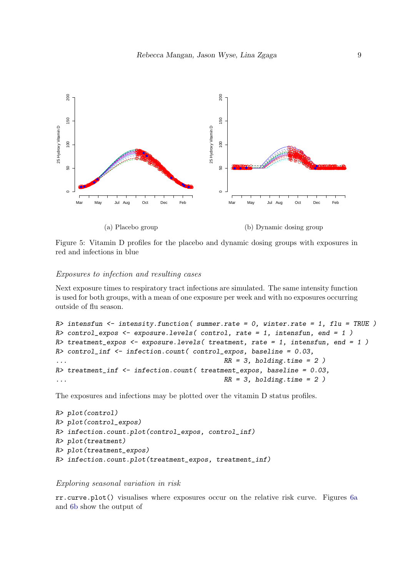

Figure 5: Vitamin D profiles for the placebo and dynamic dosing groups with exposures in red and infections in blue

#### Exposures to infection and resulting cases

Next exposure times to respiratory tract infections are simulated. The same intensity function is used for both groups, with a mean of one exposure per week and with no exposures occurring outside of flu season.

```
R> intensfun \le intensity.function( summer.rate = 0, winter.rate = 1, flu = TRUE)
R control_expos \leq exposure.levels (control, rate = 1, intensfun, end = 1)
R> treatment_expos <- exposure.levels( treatment, rate = 1, intensfun, end = 1)
R> control_inf <- infection.count( control_expos, baseline = 0.03,
RR = 3, holding.time = 2R> treatment_inf <- infection.count( treatment_expos, baseline = 0.03,
RR = 3, holding.time = 2
```
The exposures and infections may be plotted over the vitamin D status profiles.

```
R> plot(control)
R> plot(control_expos)
R> infection.count.plot(control_expos, control_inf)
R> plot(treatment)
R> plot(treatment_expos)
R> infection.count.plot(treatment_expos, treatment_inf)
```
## Exploring seasonal variation in risk

rr.curve.plot() visualises where exposures occur on the relative risk curve. Figures [6a](#page-9-0) and [6b](#page-9-0) show the output of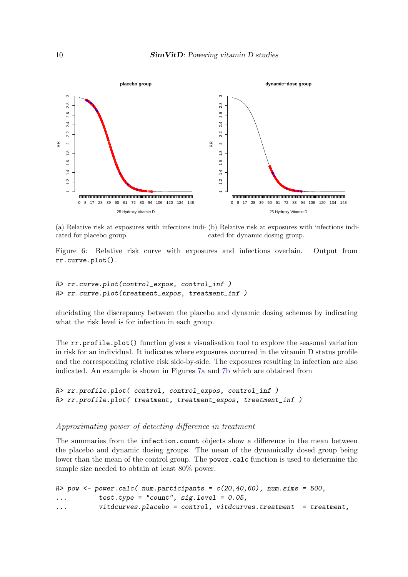<span id="page-9-0"></span>

(a) Relative risk at exposures with infections indi-(b) Relative risk at exposures with infections indicated for placebo group. cated for dynamic dosing group.

Figure 6: Relative risk curve with exposures and infections overlain. Output from rr.curve.plot().

```
R> rr.curve.plot(control_expos, control_inf )
R> rr.curve.plot(treatment_expos, treatment_inf )
```
elucidating the discrepancy between the placebo and dynamic dosing schemes by indicating what the risk level is for infection in each group.

The  $rr.\text{profile.plot}$  () function gives a visualisation tool to explore the seasonal variation in risk for an individual. It indicates where exposures occurred in the vitamin D status profile and the corresponding relative risk side-by-side. The exposures resulting in infection are also indicated. An example is shown in Figures [7a](#page-10-0) and [7b](#page-10-0) which are obtained from

```
R> rr.profile.plot( control, control_expos, control_inf )
R> rr.profile.plot( treatment, treatment_expos, treatment_inf )
```
# Approximating power of detecting difference in treatment

The summaries from the infection.count objects show a difference in the mean between the placebo and dynamic dosing groups. The mean of the dynamically dosed group being lower than the mean of the control group. The power.calc function is used to determine the sample size needed to obtain at least 80% power.

```
R> pow \leq power.calc( num.participants = c(20, 40, 60), num.sims = 500,
\ldots test.type = "count", sig.level = 0.05,
... vitdcurves.placebo = control, vitdcurves.treatment = treatment,
```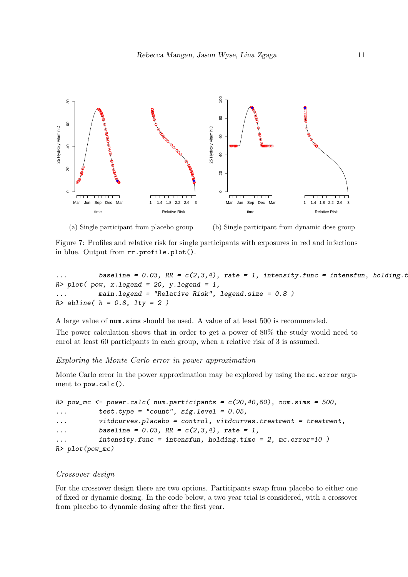<span id="page-10-0"></span>

(a) Single participant from placebo group

(b) Single participant from dynamic dose group

Figure 7: Profiles and relative risk for single participants with exposures in red and infections in blue. Output from rr.profile.plot().

baseline =  $0.03$ , RR =  $c(2,3,4)$ , rate = 1, intensity.func = intensfun, holding.t  $R$ > plot( pow, x.legend = 20, y.legend = 1, main.legend = "Relative Risk", legend.size =  $0.8$ )  $R$ > abline(  $h = 0.8$ ,  $1ty = 2$ )

A large value of num.sims should be used. A value of at least 500 is recommended. The power calculation shows that in order to get a power of 80% the study would need to enrol at least 60 participants in each group, when a relative risk of 3 is assumed.

#### Exploring the Monte Carlo error in power approximation

Monte Carlo error in the power approximation may be explored by using the mc.error argument to pow.calc().

```
R> pow_mc <- power.calc( num.participants = c(20, 40, 60), num.sims = 500,
\ldots test.type = "count", sig.level = 0.05,
... vitdcurves.placebo = control, vitdcurves.treatment = treatment,
... baseline = 0.03, RR = c(2,3,4), rate = 1,
... intensity.func = intensfun, holding.time = 2, mc.error=10 )
R> plot(pow_mc)
```
#### Crossover design

For the crossover design there are two options. Participants swap from placebo to either one of fixed or dynamic dosing. In the code below, a two year trial is considered, with a crossover from placebo to dynamic dosing after the first year.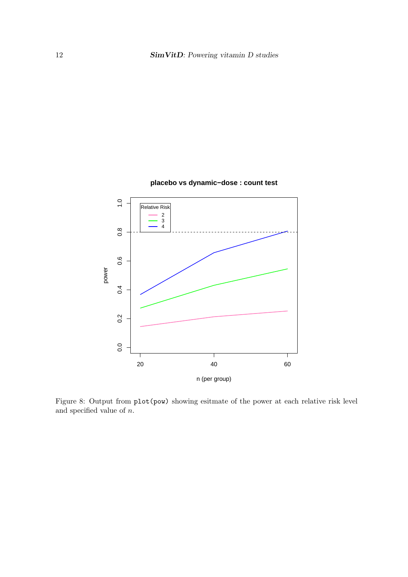

## **placebo vs dynamic−dose : count test**

Figure 8: Output from plot(pow) showing esitmate of the power at each relative risk level and specified value of  $n$ .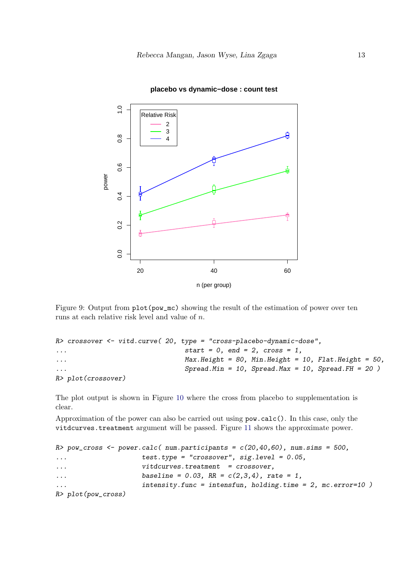

#### **placebo vs dynamic−dose : count test**

Figure 9: Output from  $plot(pow_mc)$  showing the result of the estimation of power over ten runs at each relative risk level and value of n.

```
R> crossover <- vitd.curve( 20, type = "cross-placebo-dynamic-dose",
\dots start = 0, end = 2, cross = 1,
... Max.Height = 80, Min.Height = 10, Flat.Height = 50,
Spread.Min = 10, Spread.Max = 10, Spread.FH = 20R> plot(crossover)
```
The plot output is shown in Figure [10](#page-13-6) where the cross from placebo to supplementation is clear.

Approximation of the power can also be carried out using pow.calc(). In this case, only the vitdcurves.treatment argument will be passed. Figure [11](#page-14-0) shows the approximate power.

```
R> pow_cross <- power.calc( num.participants = c(20, 40, 60), num.sims = 500,
... test.type = "crossover", sig.level = 0.05,
... vitdcurves.treatment = crossover,
... \blacksquare baseline = 0.03, RR = c(2,3,4), rate = 1,
... intensity.func = intensfun, holding.time = 2, mc.error=10 )
R> plot(pow_cross)
```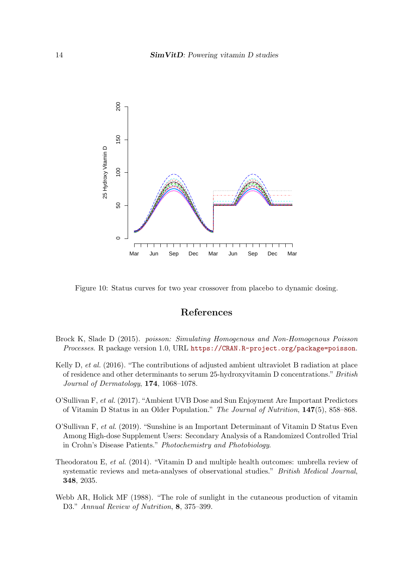<span id="page-13-6"></span>

Figure 10: Status curves for two year crossover from placebo to dynamic dosing.

# References

- <span id="page-13-5"></span>Brock K, Slade D (2015). poisson: Simulating Homogenous and Non-Homogenous Poisson Processes. R package version 1.0, URL <https://CRAN.R-project.org/package=poisson>.
- <span id="page-13-3"></span>Kelly D, et al. (2016). "The contributions of adjusted ambient ultraviolet B radiation at place of residence and other determinants to serum 25-hydroxyvitamin D concentrations." British Journal of Dermatology, 174, 1068–1078.
- <span id="page-13-4"></span>O'Sullivan F, et al. (2017). "Ambient UVB Dose and Sun Enjoyment Are Important Predictors of Vitamin D Status in an Older Population." The Journal of Nutrition, 147(5), 858–868.
- <span id="page-13-2"></span>O'Sullivan F, et al. (2019). "Sunshine is an Important Determinant of Vitamin D Status Even Among High-dose Supplement Users: Secondary Analysis of a Randomized Controlled Trial in Crohn's Disease Patients." Photochemistry and Photobiology.
- <span id="page-13-0"></span>Theodoratou E, et al. (2014). "Vitamin D and multiple health outcomes: umbrella review of systematic reviews and meta-analyses of observational studies." British Medical Journal, 348, 2035.
- <span id="page-13-1"></span>Webb AR, Holick MF (1988). "The role of sunlight in the cutaneous production of vitamin D3." Annual Review of Nutrition, 8, 375–399.